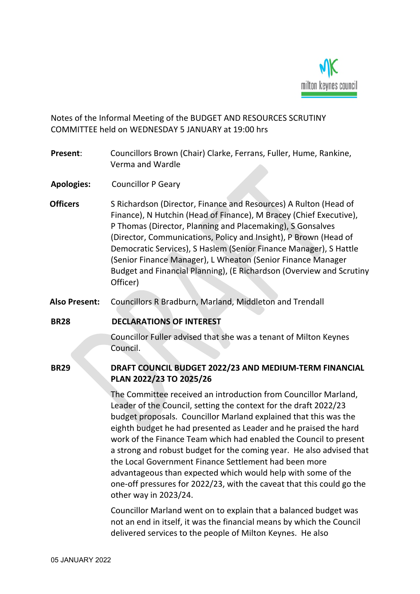

Notes of the Informal Meeting of the BUDGET AND RESOURCES SCRUTINY COMMITTEE held on WEDNESDAY 5 JANUARY at 19:00 hrs

- **Present**: Councillors Brown (Chair) Clarke, Ferrans, Fuller, Hume, Rankine, Verma and Wardle
- **Apologies:** Councillor P Geary
- **Officers** S Richardson (Director, Finance and Resources) A Rulton (Head of Finance), N Hutchin (Head of Finance), M Bracey (Chief Executive), P Thomas (Director, Planning and Placemaking), S Gonsalves (Director, Communications, Policy and Insight), P Brown (Head of Democratic Services), S Haslem (Senior Finance Manager), S Hattle (Senior Finance Manager), L Wheaton (Senior Finance Manager Budget and Financial Planning), (E Richardson (Overview and Scrutiny Officer)
- **Also Present:** Councillors R Bradburn, Marland, Middleton and Trendall
- **BR28 DECLARATIONS OF INTEREST**

Councillor Fuller advised that she was a tenant of Milton Keynes Council.

## **BR29 DRAFT COUNCIL BUDGET 2022/23 AND MEDIUM-TERM FINANCIAL PLAN 2022/23 TO 2025/26**

The Committee received an introduction from Councillor Marland, Leader of the Council, setting the context for the draft 2022/23 budget proposals. Councillor Marland explained that this was the eighth budget he had presented as Leader and he praised the hard work of the Finance Team which had enabled the Council to present a strong and robust budget for the coming year. He also advised that the Local Government Finance Settlement had been more advantageous than expected which would help with some of the one-off pressures for 2022/23, with the caveat that this could go the other way in 2023/24.

Councillor Marland went on to explain that a balanced budget was not an end in itself, it was the financial means by which the Council delivered services to the people of Milton Keynes. He also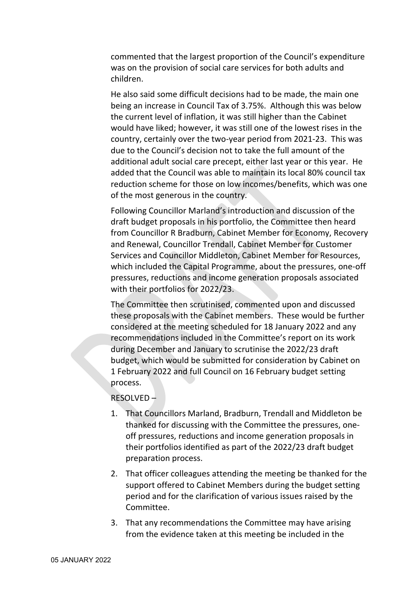commented that the largest proportion of the Council's expenditure was on the provision of social care services for both adults and children.

He also said some difficult decisions had to be made, the main one being an increase in Council Tax of 3.75%. Although this was below the current level of inflation, it was still higher than the Cabinet would have liked; however, it was still one of the lowest rises in the country, certainly over the two-year period from 2021-23. This was due to the Council's decision not to take the full amount of the additional adult social care precept, either last year or this year. He added that the Council was able to maintain its local 80% council tax reduction scheme for those on low incomes/benefits, which was one of the most generous in the country.

Following Councillor Marland's introduction and discussion of the draft budget proposals in his portfolio, the Committee then heard from Councillor R Bradburn, Cabinet Member for Economy, Recovery and Renewal, Councillor Trendall, Cabinet Member for Customer Services and Councillor Middleton, Cabinet Member for Resources, which included the Capital Programme, about the pressures, one-off pressures, reductions and income generation proposals associated with their portfolios for 2022/23.

The Committee then scrutinised, commented upon and discussed these proposals with the Cabinet members. These would be further considered at the meeting scheduled for 18 January 2022 and any recommendations included in the Committee's report on its work during December and January to scrutinise the 2022/23 draft budget, which would be submitted for consideration by Cabinet on 1 February 2022 and full Council on 16 February budget setting process.

## RESOLVED –

- 1. That Councillors Marland, Bradburn, Trendall and Middleton be thanked for discussing with the Committee the pressures, oneoff pressures, reductions and income generation proposals in their portfolios identified as part of the 2022/23 draft budget preparation process.
- 2. That officer colleagues attending the meeting be thanked for the support offered to Cabinet Members during the budget setting period and for the clarification of various issues raised by the Committee.
- 3. That any recommendations the Committee may have arising from the evidence taken at this meeting be included in the